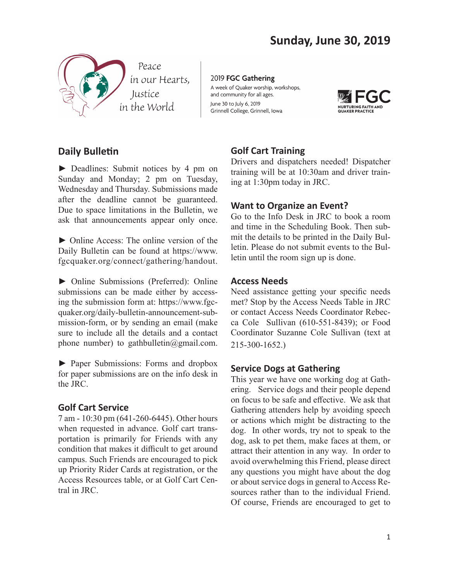

2019 FGC Gathering A week of Quaker worship, workshops, and community for all ages. June 30 to July 6, 2019 Grinnell College, Grinnell, Iowa



# **Daily Bulletin**

► Deadlines: Submit notices by 4 pm on Sunday and Monday; 2 pm on Tuesday, Wednesday and Thursday. Submissions made after the deadline cannot be guaranteed. Due to space limitations in the Bulletin, we ask that announcements appear only once.

► Online Access: The online version of the Daily Bulletin can be found at https://www. fgcquaker.org/connect/gathering/handout.

► Online Submissions (Preferred): Online submissions can be made either by accessing the submission form at: https://www.fgcquaker.org/daily-bulletin-announcement-submission-form, or by sending an email (make sure to include all the details and a contact phone number) to gathbulletin@gmail.com.

► Paper Submissions: Forms and dropbox for paper submissions are on the info desk in the JRC.

### **Golf Cart Service**

7 am - 10:30 pm (641-260-6445). Other hours when requested in advance. Golf cart transportation is primarily for Friends with any condition that makes it difficult to get around campus. Such Friends are encouraged to pick up Priority Rider Cards at registration, or the Access Resources table, or at Golf Cart Central in JRC.

## **Golf Cart Training**

Drivers and dispatchers needed! Dispatcher training will be at 10:30am and driver training at 1:30pm today in JRC.

#### **Want to Organize an Event?**

Go to the Info Desk in JRC to book a room and time in the Scheduling Book. Then submit the details to be printed in the Daily Bulletin. Please do not submit events to the Bulletin until the room sign up is done.

#### **Access Needs**

Need assistance getting your specific needs met? Stop by the Access Needs Table in JRC or contact Access Needs Coordinator Rebecca Cole Sullivan (610-551-8439); or Food Coordinator Suzanne Cole Sullivan (text at 215-300-1652.)

### **Service Dogs at Gathering**

This year we have one working dog at Gathering. Service dogs and their people depend on focus to be safe and effective. We ask that Gathering attenders help by avoiding speech or actions which might be distracting to the dog. In other words, try not to speak to the dog, ask to pet them, make faces at them, or attract their attention in any way. In order to avoid overwhelming this Friend, please direct any questions you might have about the dog or about service dogs in general to Access Resources rather than to the individual Friend. Of course, Friends are encouraged to get to